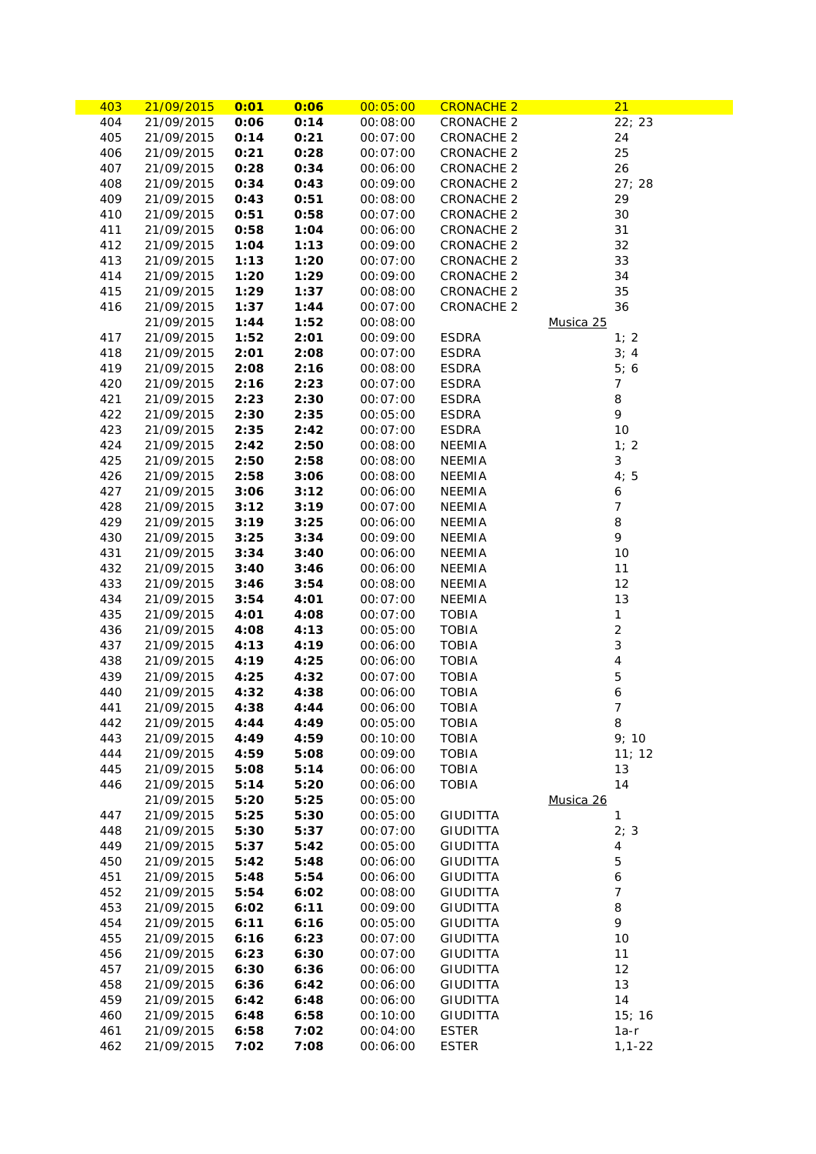| 403 | 21/09/2015 | 0:01 | 0:06 | 00:05:00 | <b>CRONACHE 2</b> | 21                        |
|-----|------------|------|------|----------|-------------------|---------------------------|
| 404 | 21/09/2015 | 0:06 | 0:14 | 00:08:00 | <b>CRONACHE 2</b> | 22; 23                    |
| 405 | 21/09/2015 | 0:14 | 0:21 | 00:07:00 | <b>CRONACHE 2</b> | 24                        |
| 406 | 21/09/2015 | 0:21 | 0:28 | 00:07:00 | CRONACHE 2        | 25                        |
| 407 |            |      |      | 00:06:00 |                   | 26                        |
|     | 21/09/2015 | 0:28 | 0:34 |          | <b>CRONACHE 2</b> |                           |
| 408 | 21/09/2015 | 0:34 | 0:43 | 00:09:00 | <b>CRONACHE 2</b> | 27; 28                    |
| 409 | 21/09/2015 | 0:43 | 0:51 | 00:08:00 | <b>CRONACHE 2</b> | 29                        |
| 410 | 21/09/2015 | 0:51 | 0:58 | 00:07:00 | <b>CRONACHE 2</b> | 30                        |
| 411 | 21/09/2015 | 0:58 | 1:04 | 00:06:00 | <b>CRONACHE 2</b> | 31                        |
| 412 | 21/09/2015 | 1:04 | 1:13 | 00:09:00 | <b>CRONACHE 2</b> | 32                        |
| 413 | 21/09/2015 | 1:13 | 1:20 | 00:07:00 | <b>CRONACHE 2</b> | 33                        |
| 414 | 21/09/2015 | 1:20 | 1:29 | 00:09:00 | <b>CRONACHE 2</b> | 34                        |
| 415 | 21/09/2015 | 1:29 | 1:37 | 00:08:00 | <b>CRONACHE 2</b> | 35                        |
| 416 | 21/09/2015 | 1:37 | 1:44 | 00:07:00 | <b>CRONACHE 2</b> | 36                        |
|     |            |      |      |          |                   |                           |
|     | 21/09/2015 | 1:44 | 1:52 | 00:08:00 |                   | Musica 25                 |
| 417 | 21/09/2015 | 1:52 | 2:01 | 00:09:00 | <b>ESDRA</b>      | 1; 2                      |
| 418 | 21/09/2015 | 2:01 | 2:08 | 00:07:00 | <b>ESDRA</b>      | 3; 4                      |
| 419 | 21/09/2015 | 2:08 | 2:16 | 00:08:00 | <b>ESDRA</b>      | 5; 6                      |
| 420 | 21/09/2015 | 2:16 | 2:23 | 00:07:00 | <b>ESDRA</b>      | $\overline{7}$            |
| 421 | 21/09/2015 | 2:23 | 2:30 | 00:07:00 | <b>ESDRA</b>      | 8                         |
| 422 | 21/09/2015 | 2:30 | 2:35 | 00:05:00 | <b>ESDRA</b>      | 9                         |
| 423 | 21/09/2015 | 2:35 | 2:42 | 00:07:00 | <b>ESDRA</b>      | 10                        |
| 424 | 21/09/2015 | 2:42 | 2:50 | 00:08:00 | <b>NEEMIA</b>     | 1; 2                      |
| 425 | 21/09/2015 | 2:50 | 2:58 | 00:08:00 | <b>NEEMIA</b>     | 3                         |
|     | 21/09/2015 |      | 3:06 | 00:08:00 |                   | 4; 5                      |
| 426 |            | 2:58 |      |          | NEEMIA            |                           |
| 427 | 21/09/2015 | 3:06 | 3:12 | 00:06:00 | NEEMIA            | $\boldsymbol{6}$          |
| 428 | 21/09/2015 | 3:12 | 3:19 | 00:07:00 | <b>NEEMIA</b>     | $\overline{7}$            |
| 429 | 21/09/2015 | 3:19 | 3:25 | 00:06:00 | <b>NEEMIA</b>     | 8                         |
| 430 | 21/09/2015 | 3:25 | 3:34 | 00:09:00 | NEEMIA            | 9                         |
| 431 | 21/09/2015 | 3:34 | 3:40 | 00:06:00 | <b>NEEMIA</b>     | 10                        |
| 432 | 21/09/2015 | 3:40 | 3:46 | 00:06:00 | NEEMIA            | 11                        |
| 433 | 21/09/2015 | 3:46 | 3:54 | 00:08:00 | NEEMIA            | 12                        |
| 434 | 21/09/2015 | 3:54 | 4:01 | 00:07:00 | NEEMIA            | 13                        |
| 435 | 21/09/2015 | 4:01 | 4:08 | 00:07:00 | <b>TOBIA</b>      | 1                         |
| 436 | 21/09/2015 | 4:08 | 4:13 | 00:05:00 | <b>TOBIA</b>      | $\overline{2}$            |
| 437 | 21/09/2015 | 4:13 | 4:19 | 00:06:00 | <b>TOBIA</b>      | $\ensuremath{\mathsf{3}}$ |
| 438 | 21/09/2015 | 4:19 | 4:25 | 00:06:00 | <b>TOBIA</b>      | $\sqrt{4}$                |
| 439 | 21/09/2015 | 4:25 | 4:32 | 00:07:00 | <b>TOBIA</b>      | 5                         |
| 440 | 21/09/2015 | 4:32 | 4:38 | 00:06:00 | <b>TOBIA</b>      | 6                         |
| 441 | 21/09/2015 | 4:38 | 4:44 | 00:06:00 | <b>TOBIA</b>      | 7                         |
| 442 | 21/09/2015 | 4:44 | 4:49 | 00:05:00 | <b>TOBIA</b>      | 8                         |
|     |            |      |      |          |                   |                           |
| 443 | 21/09/2015 | 4:49 | 4:59 | 00:10:00 | <b>TOBIA</b>      | 9;10                      |
| 444 | 21/09/2015 | 4:59 | 5:08 | 00:09:00 | <b>TOBIA</b>      | 11; 12                    |
| 445 | 21/09/2015 | 5:08 | 5:14 | 00:06:00 | <b>TOBIA</b>      | 13                        |
| 446 | 21/09/2015 | 5:14 | 5:20 | 00:06:00 | <b>TOBIA</b>      | 14                        |
|     | 21/09/2015 | 5:20 | 5:25 | 00:05:00 |                   | <u>Musica 26</u>          |
| 447 | 21/09/2015 | 5:25 | 5:30 | 00:05:00 | <b>GIUDITTA</b>   | 1                         |
| 448 | 21/09/2015 | 5:30 | 5:37 | 00:07:00 | <b>GIUDITTA</b>   | 2; 3                      |
| 449 | 21/09/2015 | 5:37 | 5:42 | 00:05:00 | <b>GIUDITTA</b>   | 4                         |
| 450 | 21/09/2015 | 5:42 | 5:48 | 00:06:00 | <b>GIUDITTA</b>   | 5                         |
| 451 | 21/09/2015 | 5:48 | 5:54 | 00:06:00 | <b>GIUDITTA</b>   | 6                         |
| 452 | 21/09/2015 | 5:54 | 6:02 | 00:08:00 | <b>GIUDITTA</b>   | 7                         |
| 453 | 21/09/2015 | 6:02 | 6:11 | 00:09:00 | <b>GIUDITTA</b>   | 8                         |
| 454 | 21/09/2015 | 6:11 | 6:16 | 00:05:00 | <b>GIUDITTA</b>   | 9                         |
| 455 | 21/09/2015 | 6:16 | 6:23 | 00:07:00 | <b>GIUDITTA</b>   | 10                        |
| 456 | 21/09/2015 | 6:23 | 6:30 | 00:07:00 | <b>GIUDITTA</b>   | 11                        |
| 457 | 21/09/2015 | 6:30 | 6:36 | 00:06:00 | <b>GIUDITTA</b>   | 12                        |
| 458 | 21/09/2015 | 6:36 | 6:42 | 00:06:00 | <b>GIUDITTA</b>   | 13                        |
|     |            |      |      |          |                   |                           |
| 459 | 21/09/2015 | 6:42 | 6:48 | 00:06:00 | <b>GIUDITTA</b>   | 14                        |
| 460 | 21/09/2015 | 6:48 | 6:58 | 00:10:00 | <b>GIUDITTA</b>   | 15; 16                    |
| 461 | 21/09/2015 | 6:58 | 7:02 | 00:04:00 | <b>ESTER</b>      | $1a-r$                    |
| 462 | 21/09/2015 | 7:02 | 7:08 | 00:06:00 | <b>ESTER</b>      | $1, 1 - 22$               |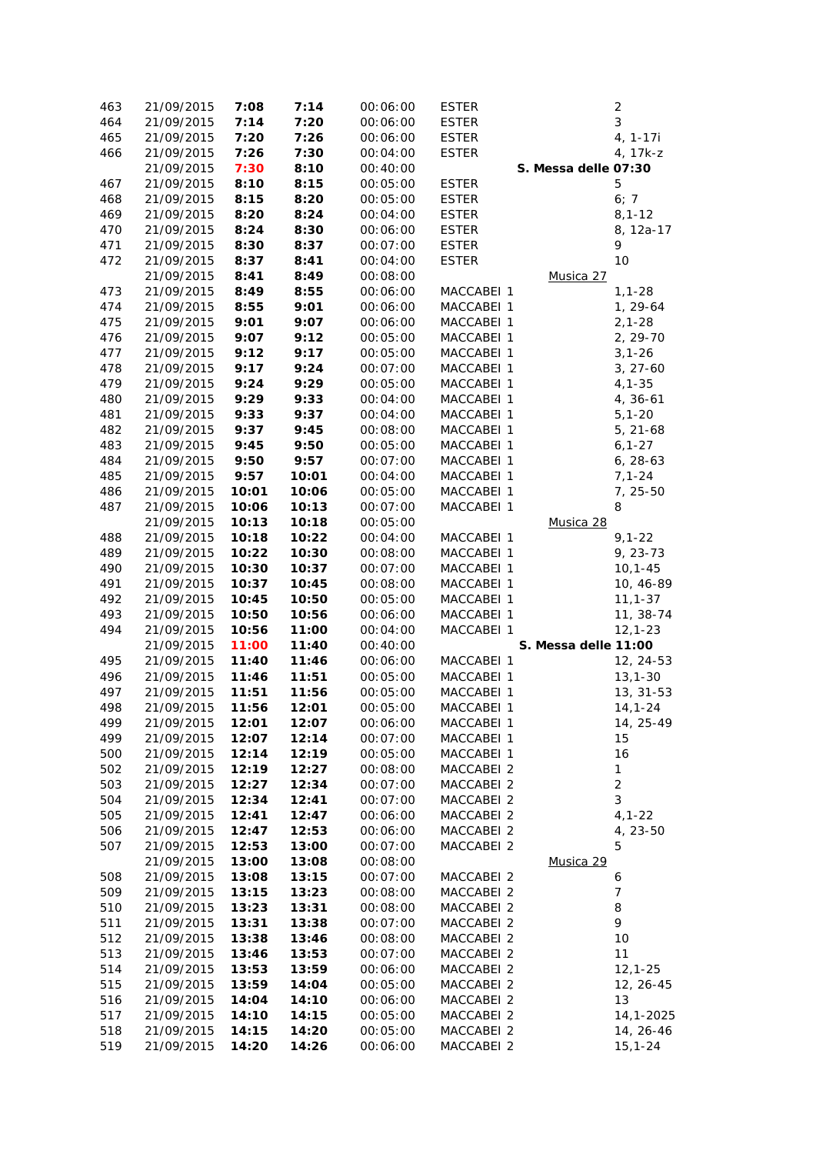| 463 | 21/09/2015 | 7:08  | 7:14           | 00:06:00 | <b>ESTER</b> | 2                              |            |
|-----|------------|-------|----------------|----------|--------------|--------------------------------|------------|
| 464 | 21/09/2015 | 7:14  | 7:20           | 00:06:00 | <b>ESTER</b> | 3                              |            |
| 465 | 21/09/2015 | 7:20  | 7:26           | 00:06:00 | <b>ESTER</b> | 4, 1-17i                       |            |
| 466 | 21/09/2015 | 7:26  | 7:30           | 00:04:00 | <b>ESTER</b> | 4, 17k-z                       |            |
|     | 21/09/2015 | 7:30  | 8:10           | 00:40:00 |              | S. Messa delle 07:30           |            |
| 467 | 21/09/2015 | 8:10  | 8:15           | 00:05:00 | <b>ESTER</b> | 5                              |            |
| 468 | 21/09/2015 | 8:15  | 8:20           | 00:05:00 | <b>ESTER</b> | 6; 7                           |            |
| 469 | 21/09/2015 | 8:20  | 8:24           | 00:04:00 | <b>ESTER</b> | $8, 1 - 12$                    |            |
| 470 | 21/09/2015 | 8:24  | 8:30           | 00:06:00 | <b>ESTER</b> |                                | 8, 12a-17  |
| 471 | 21/09/2015 | 8:30  | 8:37           | 00:07:00 | <b>ESTER</b> | 9                              |            |
| 472 | 21/09/2015 | 8:37  | 8:41           | 00:04:00 | <b>ESTER</b> | 10                             |            |
|     | 21/09/2015 | 8:41  | 8:49           | 00:08:00 |              | <u>Musica 27</u>               |            |
| 473 | 21/09/2015 | 8:49  | 8:55           | 00:06:00 | MACCABEI 1   | $1, 1 - 28$                    |            |
| 474 | 21/09/2015 | 8:55  | 9:01           | 00:06:00 | MACCABEI 1   | 1, 29-64                       |            |
| 475 | 21/09/2015 | 9:01  | 9:07           | 00:06:00 | MACCABEI 1   | $2,1 - 28$                     |            |
| 476 | 21/09/2015 | 9:07  | 9:12           | 00:05:00 | MACCABEI 1   | 2, 29-70                       |            |
| 477 | 21/09/2015 | 9:12  | 9:17           | 00:05:00 | MACCABEI 1   | $3, 1 - 26$                    |            |
| 478 | 21/09/2015 | 9:17  | 9:24           | 00:07:00 | MACCABEI 1   | 3, 27-60                       |            |
| 479 | 21/09/2015 | 9:24  | 9:29           | 00:05:00 | MACCABEI 1   | $4, 1 - 35$                    |            |
| 480 | 21/09/2015 | 9:29  | 9:33           | 00:04:00 | MACCABEI 1   | 4, 36-61                       |            |
| 481 | 21/09/2015 | 9:33  | 9:37           | 00:04:00 | MACCABEI 1   | $5, 1 - 20$                    |            |
| 482 | 21/09/2015 | 9:37  | 9:45           | 00:08:00 | MACCABEI 1   | 5, 21-68                       |            |
| 483 | 21/09/2015 | 9:45  | 9:50           | 00:05:00 | MACCABEI 1   | $6, 1 - 27$                    |            |
| 484 | 21/09/2015 | 9:50  | 9:57           | 00:07:00 | MACCABEI 1   | $6, 28-63$                     |            |
| 485 | 21/09/2015 | 9:57  | 10:01          | 00:04:00 | MACCABEI 1   | $7,1 - 24$                     |            |
| 486 | 21/09/2015 | 10:01 | 10:06          | 00:05:00 | MACCABEI 1   | 7, 25-50                       |            |
| 487 | 21/09/2015 | 10:06 | 10:13          | 00:07:00 | MACCABEI 1   | 8                              |            |
|     | 21/09/2015 | 10:13 |                | 00:05:00 |              |                                |            |
| 488 | 21/09/2015 | 10:18 | 10:18<br>10:22 | 00:04:00 | MACCABEI 1   | <u>Musica 28</u><br>$9,1 - 22$ |            |
|     |            |       |                |          |              |                                |            |
| 489 | 21/09/2015 | 10:22 | 10:30          | 00:08:00 | MACCABEI 1   | 9, 23-73                       |            |
| 490 | 21/09/2015 | 10:30 | 10:37          | 00:07:00 | MACCABEI 1   | $10, 1 - 45$                   |            |
| 491 | 21/09/2015 | 10:37 | 10:45          | 00:08:00 | MACCABEI 1   |                                | 10, 46-89  |
| 492 | 21/09/2015 | 10:45 | 10:50          | 00:05:00 | MACCABEI 1   | $11, 1 - 37$                   |            |
| 493 | 21/09/2015 | 10:50 | 10:56          | 00:06:00 | MACCABEI 1   |                                | 11, 38-74  |
| 494 | 21/09/2015 | 10:56 | 11:00          | 00:04:00 | MACCABEI 1   | $12, 1 - 23$                   |            |
|     | 21/09/2015 | 11:00 | 11:40          | 00:40:00 |              | S. Messa delle 11:00           |            |
| 495 | 21/09/2015 | 11:40 | 11:46          | 00:06:00 | MACCABEI 1   |                                | 12, 24-53  |
| 496 | 21/09/2015 | 11:46 | 11:51          | 00:05:00 | MACCABEI 1   | $13, 1 - 30$                   |            |
| 497 | 21/09/2015 | 11:51 | 11:56          | 00:05:00 | MACCABEI 1   |                                | 13, 31-53  |
| 498 | 21/09/2015 | 11:56 | 12:01          | 00:05:00 | MACCABEI 1   | $14, 1 - 24$                   |            |
| 499 | 21/09/2015 | 12:01 | 12:07          | 00:06:00 | MACCABEI 1   |                                | 14, 25-49  |
| 499 | 21/09/2015 | 12:07 | 12:14          | 00:07:00 | MACCABEI 1   | 15                             |            |
| 500 | 21/09/2015 | 12:14 | 12:19          | 00:05:00 | MACCABEI 1   | 16                             |            |
| 502 | 21/09/2015 | 12:19 | 12:27          | 00:08:00 | MACCABEI 2   | 1                              |            |
| 503 | 21/09/2015 | 12:27 | 12:34          | 00:07:00 | MACCABEI 2   | $\overline{c}$                 |            |
| 504 | 21/09/2015 | 12:34 | 12:41          | 00:07:00 | MACCABEI 2   | 3                              |            |
| 505 | 21/09/2015 | 12:41 | 12:47          | 00:06:00 | MACCABEI 2   | $4, 1 - 22$                    |            |
| 506 | 21/09/2015 | 12:47 | 12:53          | 00:06:00 | MACCABEI 2   | 4, 23-50                       |            |
| 507 | 21/09/2015 | 12:53 | 13:00          | 00:07:00 | MACCABEI 2   | 5                              |            |
|     | 21/09/2015 | 13:00 | 13:08          | 00:08:00 |              | <u>Musica 29</u>               |            |
| 508 | 21/09/2015 | 13:08 | 13:15          | 00:07:00 | MACCABEI 2   | 6                              |            |
| 509 | 21/09/2015 | 13:15 | 13:23          | 00:08:00 | MACCABEI 2   | $\overline{7}$                 |            |
| 510 | 21/09/2015 | 13:23 | 13:31          | 00:08:00 | MACCABEI 2   | 8                              |            |
| 511 | 21/09/2015 | 13:31 | 13:38          | 00:07:00 | MACCABEI 2   | 9                              |            |
| 512 | 21/09/2015 | 13:38 | 13:46          | 00:08:00 | MACCABEI 2   | $10$                           |            |
| 513 | 21/09/2015 | 13:46 | 13:53          | 00:07:00 | MACCABEI 2   | 11                             |            |
| 514 | 21/09/2015 | 13:53 | 13:59          | 00:06:00 | MACCABEI 2   | $12, 1 - 25$                   |            |
| 515 | 21/09/2015 | 13:59 | 14:04          | 00:05:00 | MACCABEI 2   |                                | 12, 26-45  |
| 516 | 21/09/2015 | 14:04 | 14:10          | 00:06:00 | MACCABEI 2   | 13                             |            |
| 517 | 21/09/2015 | 14:10 | 14:15          | 00:05:00 | MACCABEI 2   |                                | 14, 1-2025 |
| 518 | 21/09/2015 | 14:15 | 14:20          | 00:05:00 | MACCABEI 2   |                                | 14, 26-46  |
| 519 | 21/09/2015 | 14:20 | 14:26          | 00:06:00 | MACCABEI 2   | $15, 1 - 24$                   |            |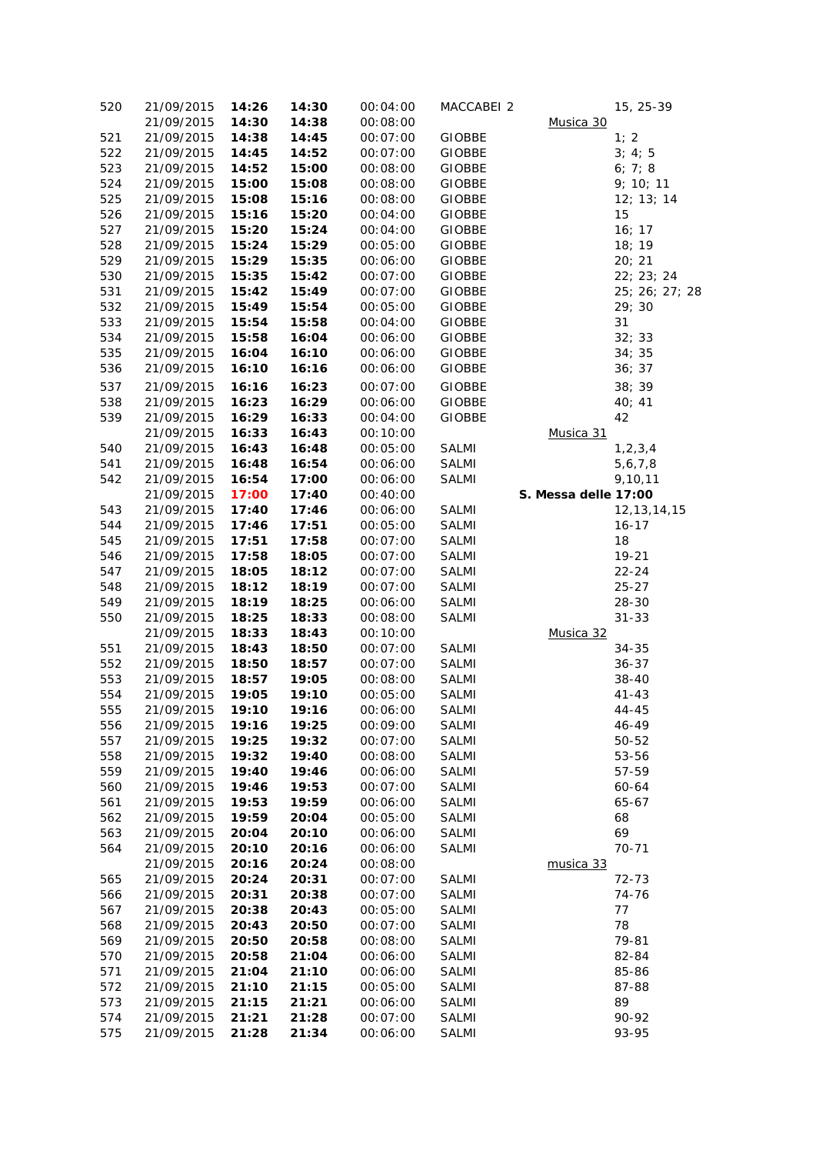| 520 | 21/09/2015 | 14:26 | 14:30 | 00:04:00 | MACCABEI 2    |                      | 15, 25-39      |
|-----|------------|-------|-------|----------|---------------|----------------------|----------------|
|     | 21/09/2015 | 14:30 | 14:38 | 00:08:00 |               | Musica 30            |                |
| 521 | 21/09/2015 | 14:38 | 14:45 | 00:07:00 | <b>GIOBBE</b> |                      | 1; 2           |
| 522 | 21/09/2015 | 14:45 | 14:52 | 00:07:00 | <b>GIOBBE</b> |                      | 3; 4; 5        |
| 523 | 21/09/2015 | 14:52 | 15:00 | 00:08:00 | GIOBBE        |                      | 6; 7; 8        |
| 524 | 21/09/2015 | 15:00 | 15:08 | 00:08:00 | <b>GIOBBE</b> |                      | 9; 10; 11      |
| 525 | 21/09/2015 | 15:08 | 15:16 | 00:08:00 | <b>GIOBBE</b> |                      | 12; 13; 14     |
| 526 | 21/09/2015 | 15:16 | 15:20 | 00:04:00 | <b>GIOBBE</b> |                      | 15             |
| 527 | 21/09/2015 | 15:20 | 15:24 | 00:04:00 | GIOBBE        |                      | 16; 17         |
| 528 | 21/09/2015 | 15:24 | 15:29 | 00:05:00 | <b>GIOBBE</b> |                      | 18; 19         |
| 529 | 21/09/2015 | 15:29 | 15:35 | 00:06:00 | <b>GIOBBE</b> |                      | 20; 21         |
| 530 | 21/09/2015 | 15:35 | 15:42 | 00:07:00 | GIOBBE        |                      | 22; 23; 24     |
| 531 | 21/09/2015 | 15:42 | 15:49 | 00:07:00 | <b>GIOBBE</b> |                      | 25; 26; 27; 28 |
| 532 | 21/09/2015 | 15:49 | 15:54 | 00:05:00 | <b>GIOBBE</b> |                      | 29; 30         |
| 533 | 21/09/2015 | 15:54 | 15:58 | 00:04:00 | <b>GIOBBE</b> |                      | 31             |
| 534 | 21/09/2015 | 15:58 | 16:04 | 00:06:00 | <b>GIOBBE</b> |                      | 32; 33         |
| 535 | 21/09/2015 | 16:04 | 16:10 | 00:06:00 | <b>GIOBBE</b> |                      | 34; 35         |
| 536 | 21/09/2015 | 16:10 | 16:16 | 00:06:00 | GIOBBE        |                      | 36; 37         |
|     |            |       |       |          |               |                      |                |
| 537 | 21/09/2015 | 16:16 | 16:23 | 00:07:00 | <b>GIOBBE</b> |                      | 38; 39         |
| 538 | 21/09/2015 | 16:23 | 16:29 | 00:06:00 | <b>GIOBBE</b> |                      | 40; 41         |
| 539 | 21/09/2015 | 16:29 | 16:33 | 00:04:00 | <b>GIOBBE</b> |                      | 42             |
|     | 21/09/2015 | 16:33 | 16:43 | 00:10:00 |               | Musica 31            |                |
| 540 | 21/09/2015 | 16:43 | 16:48 | 00:05:00 | <b>SALMI</b>  |                      | 1, 2, 3, 4     |
| 541 | 21/09/2015 | 16:48 | 16:54 | 00:06:00 | <b>SALMI</b>  |                      | 5,6,7,8        |
| 542 | 21/09/2015 | 16:54 | 17:00 | 00:06:00 | <b>SALMI</b>  |                      | 9,10,11        |
|     | 21/09/2015 | 17:00 | 17:40 | 00:40:00 |               | S. Messa delle 17:00 |                |
| 543 | 21/09/2015 | 17:40 | 17:46 | 00:06:00 | SALMI         |                      | 12, 13, 14, 15 |
| 544 | 21/09/2015 | 17:46 | 17:51 | 00:05:00 | SALMI         |                      | $16 - 17$      |
| 545 | 21/09/2015 | 17:51 | 17:58 | 00:07:00 | SALMI         |                      | 18             |
| 546 | 21/09/2015 | 17:58 | 18:05 | 00:07:00 | SALMI         |                      | 19-21          |
| 547 | 21/09/2015 | 18:05 | 18:12 | 00:07:00 | SALMI         |                      | $22 - 24$      |
| 548 | 21/09/2015 | 18:12 | 18:19 | 00:07:00 | <b>SALMI</b>  |                      | $25 - 27$      |
| 549 | 21/09/2015 | 18:19 | 18:25 | 00:06:00 | SALMI         |                      | 28-30          |
| 550 | 21/09/2015 | 18:25 | 18:33 | 00:08:00 | <b>SALMI</b>  |                      | $31 - 33$      |
|     | 21/09/2015 | 18:33 | 18:43 | 00:10:00 |               | <u>Musica 32</u>     |                |
| 551 | 21/09/2015 | 18:43 | 18:50 | 00:07:00 | <b>SALMI</b>  |                      | $34 - 35$      |
| 552 | 21/09/2015 | 18:50 | 18:57 | 00:07:00 | SALMI         |                      | $36 - 37$      |
| 553 | 21/09/2015 | 18:57 | 19:05 | 00:08:00 | <b>SALMI</b>  |                      | $38 - 40$      |
| 554 | 21/09/2015 | 19:05 | 19:10 | 00:05:00 | <b>SALMI</b>  |                      | $41 - 43$      |
| 555 | 21/09/2015 | 19:10 | 19:16 | 00:06:00 | <b>SALMI</b>  |                      | 44-45          |
| 556 | 21/09/2015 | 19:16 | 19:25 | 00:09:00 | <b>SALMI</b>  |                      | 46-49          |
| 557 | 21/09/2015 | 19:25 | 19:32 | 00:07:00 | SALMI         |                      | 50-52          |
| 558 | 21/09/2015 | 19:32 | 19:40 | 00:08:00 | SALMI         |                      | 53-56          |
| 559 | 21/09/2015 | 19:40 | 19:46 | 00:06:00 | SALMI         |                      | 57-59          |
| 560 | 21/09/2015 | 19:46 | 19:53 | 00:07:00 | SALMI         |                      | 60-64          |
| 561 | 21/09/2015 | 19:53 | 19:59 | 00:06:00 | SALMI         |                      | 65-67          |
| 562 | 21/09/2015 | 19:59 | 20:04 | 00:05:00 | SALMI         |                      | 68             |
| 563 | 21/09/2015 | 20:04 | 20:10 | 00:06:00 | SALMI         |                      | 69             |
| 564 | 21/09/2015 | 20:10 | 20:16 | 00:06:00 | SALMI         |                      | $70 - 71$      |
|     | 21/09/2015 | 20:16 | 20:24 | 00:08:00 |               | musica 33            |                |
| 565 | 21/09/2015 | 20:24 | 20:31 | 00:07:00 | SALMI         |                      | $72 - 73$      |
| 566 | 21/09/2015 | 20:31 | 20:38 | 00:07:00 | SALMI         |                      | 74-76          |
| 567 | 21/09/2015 | 20:38 | 20:43 | 00:05:00 | SALMI         |                      | 77             |
| 568 | 21/09/2015 | 20:43 | 20:50 | 00:07:00 | SALMI         |                      | 78             |
| 569 | 21/09/2015 | 20:50 | 20:58 | 00:08:00 | SALMI         |                      | 79-81          |
| 570 | 21/09/2015 | 20:58 | 21:04 | 00:06:00 | <b>SALMI</b>  |                      | 82-84          |
| 571 | 21/09/2015 | 21:04 | 21:10 | 00:06:00 | SALMI         |                      | 85-86          |
| 572 | 21/09/2015 | 21:10 | 21:15 | 00:05:00 | <b>SALMI</b>  |                      | 87-88          |
| 573 | 21/09/2015 | 21:15 | 21:21 | 00:06:00 | SALMI         |                      | 89             |
| 574 | 21/09/2015 | 21:21 | 21:28 | 00:07:00 | SALMI         |                      | 90-92          |
| 575 | 21/09/2015 | 21:28 | 21:34 | 00:06:00 | SALMI         |                      | 93-95          |
|     |            |       |       |          |               |                      |                |